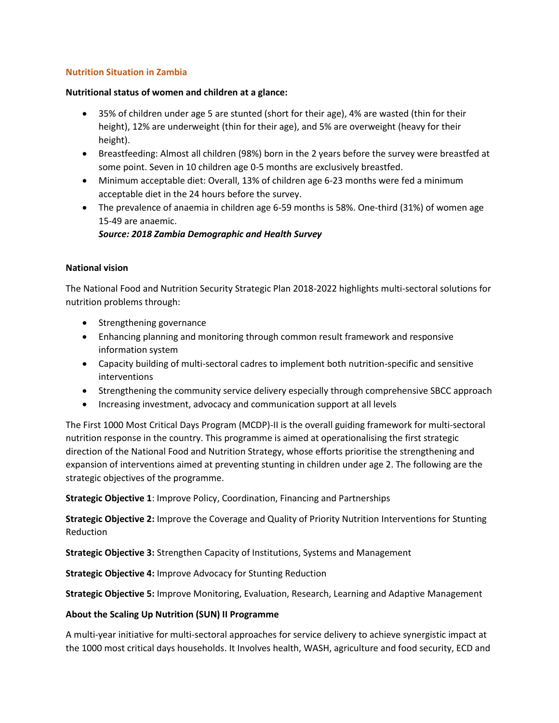# **Nutrition Situation in Zambia**

#### **Nutritional status of women and children at a glance:**

- 35% of children under age 5 are stunted (short for their age), 4% are wasted (thin for their height), 12% are underweight (thin for their age), and 5% are overweight (heavy for their height).
- Breastfeeding: Almost all children (98%) born in the 2 years before the survey were breastfed at some point. Seven in 10 children age 0-5 months are exclusively breastfed.
- Minimum acceptable diet: Overall, 13% of children age 6-23 months were fed a minimum acceptable diet in the 24 hours before the survey.
- The prevalence of anaemia in children age 6-59 months is 58%. One-third (31%) of women age 15-49 are anaemic.

# *Source: 2018 Zambia Demographic and Health Survey*

## **National vision**

The National Food and Nutrition Security Strategic Plan 2018-2022 highlights multi-sectoral solutions for nutrition problems through:

- Strengthening governance
- Enhancing planning and monitoring through common result framework and responsive information system
- Capacity building of multi-sectoral cadres to implement both nutrition-specific and sensitive interventions
- Strengthening the community service delivery especially through comprehensive SBCC approach
- Increasing investment, advocacy and communication support at all levels

The First 1000 Most Critical Days Program (MCDP)-II is the overall guiding framework for multi-sectoral nutrition response in the country. This programme is aimed at operationalising the first strategic direction of the National Food and Nutrition Strategy, whose efforts prioritise the strengthening and expansion of interventions aimed at preventing stunting in children under age 2. The following are the strategic objectives of the programme.

**Strategic Objective 1**: Improve Policy, Coordination, Financing and Partnerships

**Strategic Objective 2:** Improve the Coverage and Quality of Priority Nutrition Interventions for Stunting Reduction

**Strategic Objective 3:** Strengthen Capacity of Institutions, Systems and Management

**Strategic Objective 4:** Improve Advocacy for Stunting Reduction

**Strategic Objective 5:** Improve Monitoring, Evaluation, Research, Learning and Adaptive Management

## **About the Scaling Up Nutrition (SUN) II Programme**

A multi-year initiative for multi-sectoral approaches for service delivery to achieve synergistic impact at the 1000 most critical days households. It Involves health, WASH, agriculture and food security, ECD and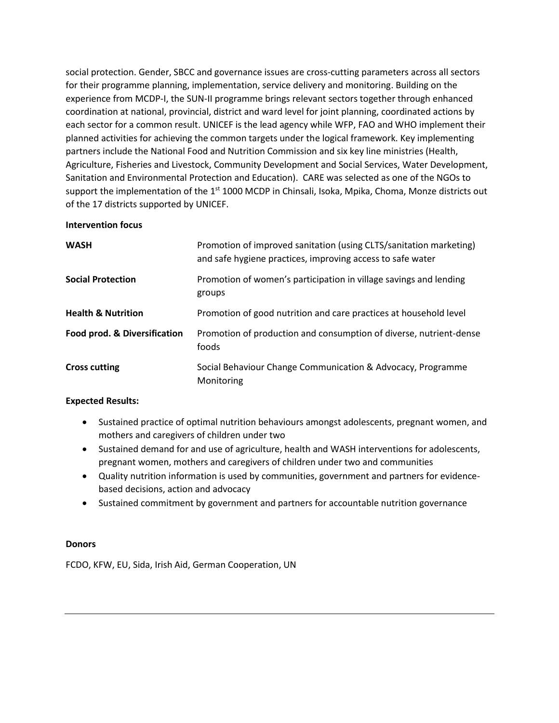social protection. Gender, SBCC and governance issues are cross-cutting parameters across all sectors for their programme planning, implementation, service delivery and monitoring. Building on the experience from MCDP-I, the SUN-II programme brings relevant sectors together through enhanced coordination at national, provincial, district and ward level for joint planning, coordinated actions by each sector for a common result. UNICEF is the lead agency while WFP, FAO and WHO implement their planned activities for achieving the common targets under the logical framework. Key implementing partners include the National Food and Nutrition Commission and six key line ministries (Health, Agriculture, Fisheries and Livestock, Community Development and Social Services, Water Development, Sanitation and Environmental Protection and Education). CARE was selected as one of the NGOs to support the implementation of the  $1<sup>st</sup> 1000$  MCDP in Chinsali, Isoka, Mpika, Choma, Monze districts out of the 17 districts supported by UNICEF.

#### **Intervention focus**

| <b>WASH</b>                   | Promotion of improved sanitation (using CLTS/sanitation marketing)<br>and safe hygiene practices, improving access to safe water |
|-------------------------------|----------------------------------------------------------------------------------------------------------------------------------|
| <b>Social Protection</b>      | Promotion of women's participation in village savings and lending<br>groups                                                      |
| <b>Health &amp; Nutrition</b> | Promotion of good nutrition and care practices at household level                                                                |
| Food prod. & Diversification  | Promotion of production and consumption of diverse, nutrient-dense<br>foods                                                      |
| <b>Cross cutting</b>          | Social Behaviour Change Communication & Advocacy, Programme<br>Monitoring                                                        |

## **Expected Results:**

- Sustained practice of optimal nutrition behaviours amongst adolescents, pregnant women, and mothers and caregivers of children under two
- Sustained demand for and use of agriculture, health and WASH interventions for adolescents, pregnant women, mothers and caregivers of children under two and communities
- Quality nutrition information is used by communities, government and partners for evidencebased decisions, action and advocacy
- Sustained commitment by government and partners for accountable nutrition governance

## **Donors**

FCDO, KFW, EU, Sida, Irish Aid, German Cooperation, UN